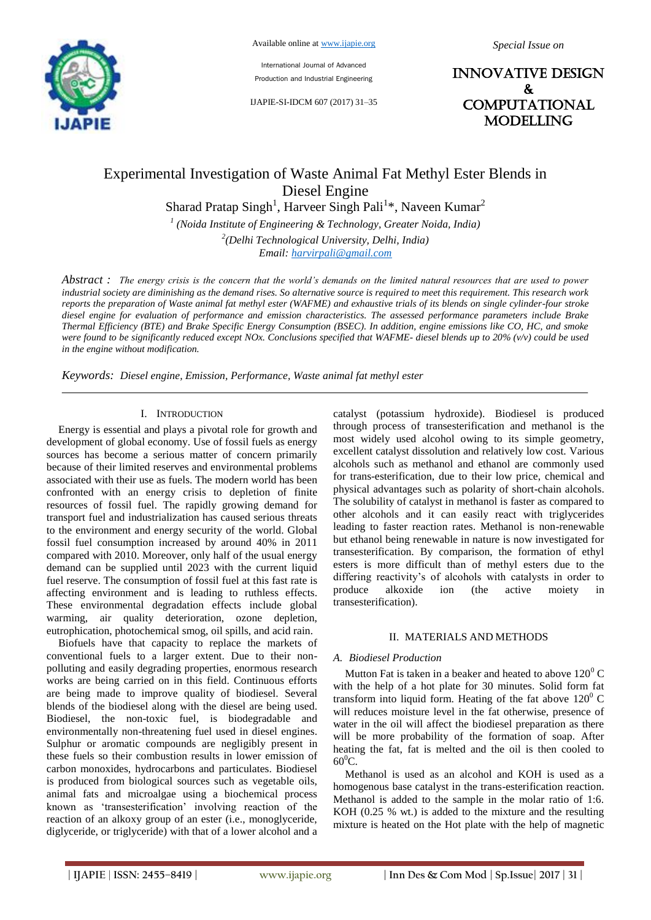

International Journal of Advanced Production and Industrial Engineering

IJAPIE-SI-IDCM 607 (2017) 31–35

INNOVATIVE DESIGN & **COMPUTATIONAL** MODELLING

# Experimental Investigation of Waste Animal Fat Methyl Ester Blends in Diesel Engine

Sharad Pratap Singh<sup>1</sup>, Harveer Singh Pali<sup>1\*</sup>, Naveen Kumar<sup>2</sup>

*1 (Noida Institute of Engineering & Technology, Greater Noida, India)*

*2 (Delhi Technological University, Delhi, India) Email: harvirpali@gmail.com*

*Abstract : The energy crisis is the concern that the world's demands on the limited natural resources that are used to power industrial society are diminishing as the demand rises. So alternative source is required to meet this requirement. This research work reports the preparation of Waste animal fat methyl ester (WAFME) and exhaustive trials of its blends on single cylinder-four stroke diesel engine for evaluation of performance and emission characteristics. The assessed performance parameters include Brake Thermal Efficiency (BTE) and Brake Specific Energy Consumption (BSEC). In addition, engine emissions like CO, HC, and smoke were found to be significantly reduced except NOx. Conclusions specified that WAFME- diesel blends up to 20% (v/v) could be used in the engine without modification.*

*Keywords: Diesel engine, Emission, Performance, Waste animal fat methyl ester*

#### I. INTRODUCTION

Energy is essential and plays a pivotal role for growth and development of global economy. Use of fossil fuels as energy sources has become a serious matter of concern primarily because of their limited reserves and environmental problems associated with their use as fuels. The modern world has been confronted with an energy crisis to depletion of finite resources of fossil fuel. The rapidly growing demand for transport fuel and industrialization has caused serious threats to the environment and energy security of the world. Global fossil fuel consumption increased by around 40% in 2011 compared with 2010. Moreover, only half of the usual energy demand can be supplied until 2023 with the current liquid fuel reserve. The consumption of fossil fuel at this fast rate is affecting environment and is leading to ruthless effects. These environmental degradation effects include global warming, air quality deterioration, ozone depletion, eutrophication, photochemical smog, oil spills, and acid rain.

Biofuels have that capacity to replace the markets of conventional fuels to a larger extent. Due to their nonpolluting and easily degrading properties, enormous research works are being carried on in this field. Continuous efforts are being made to improve quality of biodiesel. Several blends of the biodiesel along with the diesel are being used. Biodiesel, the non-toxic fuel, is biodegradable and environmentally non-threatening fuel used in diesel engines. Sulphur or aromatic compounds are negligibly present in these fuels so their combustion results in lower emission of carbon monoxides, hydrocarbons and particulates. Biodiesel is produced from biological sources such as vegetable oils, animal fats and microalgae using a biochemical process known as "transesterification" involving reaction of the reaction of an alkoxy group of an ester (i.e., monoglyceride, diglyceride, or triglyceride) with that of a lower alcohol and a catalyst (potassium hydroxide). Biodiesel is produced through process of transesterification and methanol is the most widely used alcohol owing to its simple geometry, excellent catalyst dissolution and relatively low cost. Various alcohols such as methanol and ethanol are commonly used for trans-esterification, due to their low price, chemical and physical advantages such as polarity of short-chain alcohols. The solubility of catalyst in methanol is faster as compared to other alcohols and it can easily react with triglycerides leading to faster reaction rates. Methanol is non-renewable but ethanol being renewable in nature is now investigated for transesterification. By comparison, the formation of ethyl esters is more difficult than of methyl esters due to the differing reactivity's of alcohols with catalysts in order to produce alkoxide ion (the active moiety in transesterification).

#### II. MATERIALS AND METHODS

#### *A. Biodiesel Production*

Mutton Fat is taken in a beaker and heated to above  $120^0$  C with the help of a hot plate for 30 minutes. Solid form fat transform into liquid form. Heating of the fat above  $120^0$  C will reduces moisture level in the fat otherwise, presence of water in the oil will affect the biodiesel preparation as there will be more probability of the formation of soap. After heating the fat, fat is melted and the oil is then cooled to  $60^0C$ .

Methanol is used as an alcohol and KOH is used as a homogenous base catalyst in the trans-esterification reaction. Methanol is added to the sample in the molar ratio of 1:6. KOH (0.25 % wt.) is added to the mixture and the resulting mixture is heated on the Hot plate with the help of magnetic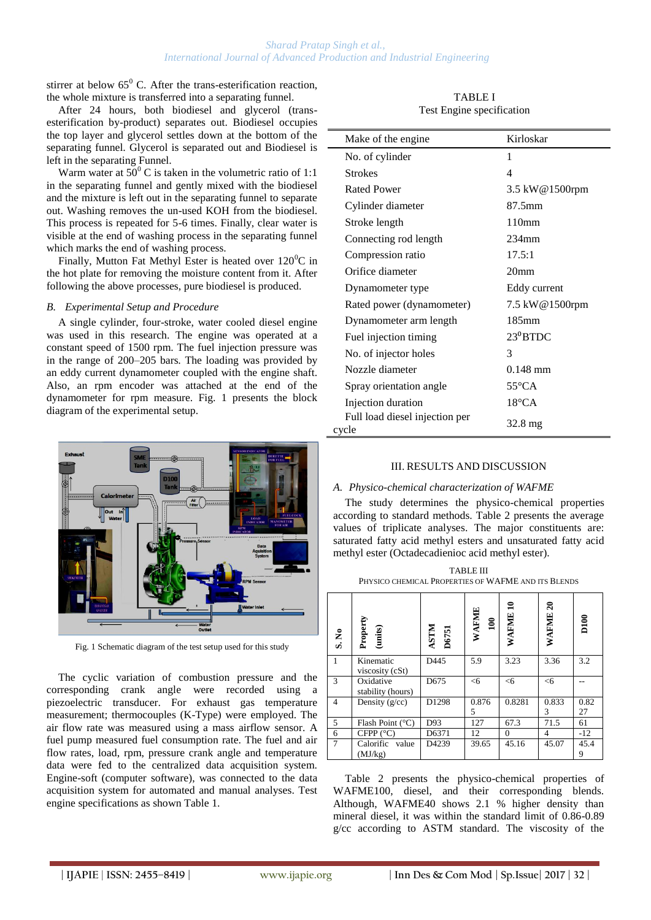# *Sharad Pratap Singh et al., International Journal of Advanced Production and Industrial Engineering*

stirrer at below  $65^{\circ}$  C. After the trans-esterification reaction, the whole mixture is transferred into a separating funnel.

After 24 hours, both biodiesel and glycerol (transesterification by-product) separates out. Biodiesel occupies the top layer and glycerol settles down at the bottom of the separating funnel. Glycerol is separated out and Biodiesel is  $\blacksquare$ left in the separating Funnel.

Warm water at  $50^{\circ}$  C is taken in the volumetric ratio of 1:1 in the separating funnel and gently mixed with the biodiesel and the mixture is left out in the separating funnel to separate out. Washing removes the un-used KOH from the biodiesel. This process is repeated for 5-6 times. Finally, clear water is visible at the end of washing process in the separating funnel which marks the end of washing process.

Finally, Mutton Fat Methyl Ester is heated over  $120^0C$  in the hot plate for removing the moisture content from it. After following the above processes, pure biodiesel is produced.

#### *B. Experimental Setup and Procedure*

A single cylinder, four-stroke, water cooled diesel engine was used in this research. The engine was operated at a constant speed of 1500 rpm. The fuel injection pressure was in the range of 200–205 bars. The loading was provided by an eddy current dynamometer coupled with the engine shaft. Also, an rpm encoder was attached at the end of the dynamometer for rpm measure. Fig. 1 presents the block diagram of the experimental setup.



Fig. 1 Schematic diagram of the test setup used for this study

The cyclic variation of combustion pressure and the corresponding crank angle were recorded using a piezoelectric transducer. For exhaust gas temperature measurement; thermocouples (K-Type) were employed. The air flow rate was measured using a mass airflow sensor. A fuel pump measured fuel consumption rate. The fuel and air flow rates, load, rpm, pressure crank angle and temperature data were fed to the centralized data acquisition system. Engine-soft (computer software), was connected to the data acquisition system for automated and manual analyses. Test engine specifications as shown Table 1.

TABLE I Test Engine specification

| Make of the engine                      | Kirloskar                |  |
|-----------------------------------------|--------------------------|--|
| No. of cylinder                         | 1                        |  |
| <b>Strokes</b>                          | $\overline{\mathcal{L}}$ |  |
| Rated Power                             | 3.5 kW@1500rpm           |  |
| Cylinder diameter                       | 87.5mm                   |  |
| Stroke length                           | 110mm                    |  |
| Connecting rod length                   | $234$ mm                 |  |
| Compression ratio                       | 17.5:1                   |  |
| Orifice diameter                        | 20 <sub>mm</sub>         |  |
| Dynamometer type                        | Eddy current             |  |
| Rated power (dynamometer)               | 7.5 kW@1500rpm           |  |
| Dynamometer arm length                  | $185 \text{mm}$          |  |
| Fuel injection timing                   | $23^0$ BTDC              |  |
| No. of injector holes                   | 3                        |  |
| Nozzle diameter                         | $0.148$ mm               |  |
| Spray orientation angle                 | $55^{\circ}$ CA          |  |
| Injection duration                      | $18^{\circ}$ CA          |  |
| Full load diesel injection per<br>cycle | 32.8 mg                  |  |

# III. RESULTS AND DISCUSSION

# *A. Physico-chemical characterization of WAFME*

The study determines the physico-chemical properties according to standard methods. Table 2 presents the average values of triplicate analyses. The major constituents are: saturated fatty acid methyl esters and unsaturated fatty acid methyl ester (Octadecadienioc acid methyl ester).

TABLE III PHYSICO CHEMICAL PROPERTIES OF WAFME AND ITS BLENDS

| S. No           | Property<br>(units)            | ASTM<br><b>D6751</b> | WAFME<br>$\mathbf{100}$ | ສ<br>WAFME | <b>WAFME 20</b> | D100       |
|-----------------|--------------------------------|----------------------|-------------------------|------------|-----------------|------------|
| $\mathbf{1}$    | Kinematic<br>viscosity (cSt)   | D445                 | 5.9                     | 3.23       | 3.36            | 3.2        |
| 3               | Oxidative<br>stability (hours) | D675                 | <6                      | <6         | $<$ 6           |            |
| 4               | Density $(g/cc)$               | D1298                | 0.876<br>5              | 0.8281     | 0.833<br>3      | 0.82<br>27 |
| 5               | Flash Point $(^{\circ}C)$      | D93                  | 127                     | 67.3       | 71.5            | 61         |
| 6               | CFPP $(^{\circ}C)$             | D6371                | 12                      | $\Omega$   | 4               | $-12$      |
| $7\phantom{.0}$ | Calorific<br>value<br>(MJ/kg)  | D4239                | 39.65                   | 45.16      | 45.07           | 45.4<br>9  |

Table 2 presents the physico-chemical properties of WAFME100, diesel, and their corresponding blends. Although, WAFME40 shows 2.1 % higher density than mineral diesel, it was within the standard limit of 0.86-0.89 g/cc according to ASTM standard. The viscosity of the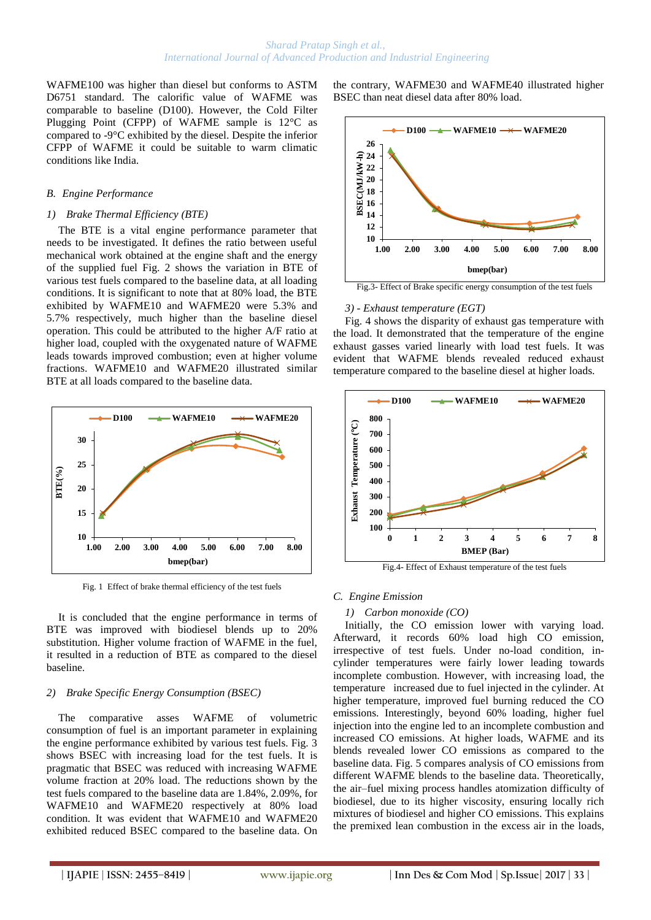WAFME100 was higher than diesel but conforms to ASTM D6751 standard. The calorific value of WAFME was comparable to baseline (D100). However, the Cold Filter Plugging Point (CFPP) of WAFME sample is 12°C as compared to -9°C exhibited by the diesel. Despite the inferior CFPP of WAFME it could be suitable to warm climatic conditions like India.

#### *B. Engine Performance*

#### *1) Brake Thermal Efficiency (BTE)*

The BTE is a vital engine performance parameter that needs to be investigated. It defines the ratio between useful mechanical work obtained at the engine shaft and the energy of the supplied fuel Fig. 2 shows the variation in BTE of various test fuels compared to the baseline data, at all loading conditions. It is significant to note that at 80% load, the BTE exhibited by WAFME10 and WAFME20 were 5.3% and 5.7% respectively, much higher than the baseline diesel operation. This could be attributed to the higher A/F ratio at higher load, coupled with the oxygenated nature of WAFME leads towards improved combustion; even at higher volume fractions. WAFME10 and WAFME20 illustrated similar BTE at all loads compared to the baseline data.



Fig. 1 Effect of brake thermal efficiency of the test fuels

It is concluded that the engine performance in terms of BTE was improved with biodiesel blends up to 20% substitution. Higher volume fraction of WAFME in the fuel, it resulted in a reduction of BTE as compared to the diesel baseline.

# *2) Brake Specific Energy Consumption (BSEC)*

The comparative asses WAFME of volumetric consumption of fuel is an important parameter in explaining the engine performance exhibited by various test fuels. Fig. 3 shows BSEC with increasing load for the test fuels. It is pragmatic that BSEC was reduced with increasing WAFME volume fraction at 20% load. The reductions shown by the test fuels compared to the baseline data are 1.84%, 2.09%, for WAFME10 and WAFME20 respectively at 80% load condition. It was evident that WAFME10 and WAFME20 exhibited reduced BSEC compared to the baseline data. On

the contrary, WAFME30 and WAFME40 illustrated higher BSEC than neat diesel data after 80% load.



Fig.3- Effect of Brake specific energy consumption of the test fuels

#### *3) - Exhaust temperature (EGT)*

Fig. 4 shows the disparity of exhaust gas temperature with the load. It demonstrated that the temperature of the engine exhaust gasses varied linearly with load test fuels. It was evident that WAFME blends revealed reduced exhaust temperature compared to the baseline diesel at higher loads.



Fig.4- Effect of Exhaust temperature of the test fuels

# *C. Engine Emission*

# *1) Carbon monoxide (CO)*

Initially, the CO emission lower with varying load. Afterward, it records 60% load high CO emission, irrespective of test fuels. Under no-load condition, incylinder temperatures were fairly lower leading towards incomplete combustion. However, with increasing load, the temperature increased due to fuel injected in the cylinder. At higher temperature, improved fuel burning reduced the CO emissions. Interestingly, beyond 60% loading, higher fuel injection into the engine led to an incomplete combustion and increased CO emissions. At higher loads, WAFME and its blends revealed lower CO emissions as compared to the baseline data. Fig. 5 compares analysis of CO emissions from different WAFME blends to the baseline data. Theoretically, the air–fuel mixing process handles atomization difficulty of biodiesel, due to its higher viscosity, ensuring locally rich mixtures of biodiesel and higher CO emissions. This explains the premixed lean combustion in the excess air in the loads,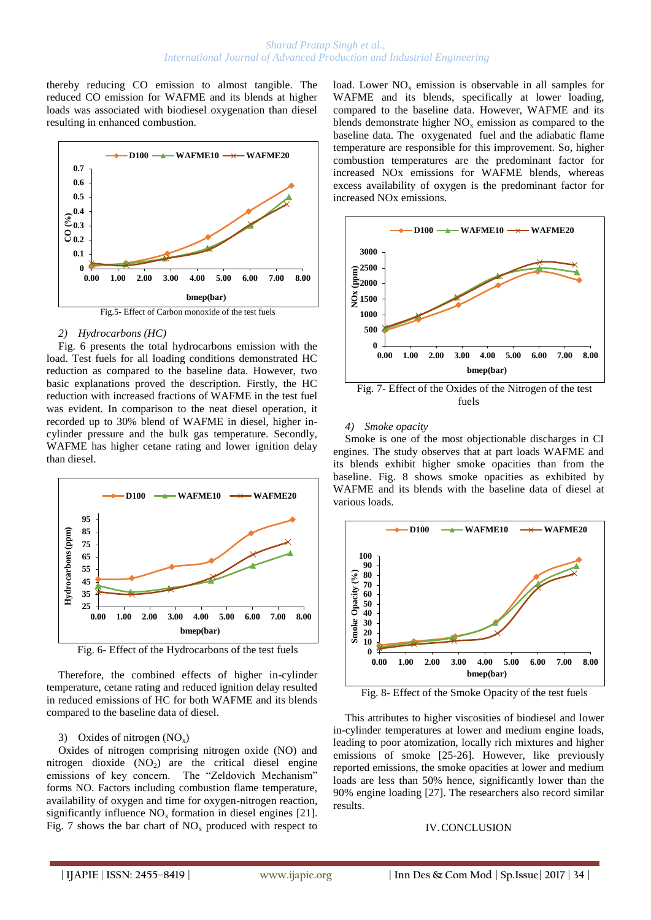thereby reducing CO emission to almost tangible. The reduced CO emission for WAFME and its blends at higher loads was associated with biodiesel oxygenation than diesel resulting in enhanced combustion.



# *2) Hydrocarbons (HC)*

Fig. 6 presents the total hydrocarbons emission with the load. Test fuels for all loading conditions demonstrated HC reduction as compared to the baseline data. However, two basic explanations proved the description. Firstly, the HC reduction with increased fractions of WAFME in the test fuel was evident. In comparison to the neat diesel operation, it recorded up to 30% blend of WAFME in diesel, higher incylinder pressure and the bulk gas temperature. Secondly, WAFME has higher cetane rating and lower ignition delay than diesel.



Fig. 6- Effect of the Hydrocarbons of the test fuels

Therefore, the combined effects of higher in-cylinder temperature, cetane rating and reduced ignition delay resulted in reduced emissions of HC for both WAFME and its blends compared to the baseline data of diesel.

# 3) Oxides of nitrogen  $(NO_x)$

Oxides of nitrogen comprising nitrogen oxide (NO) and nitrogen dioxide  $(NO<sub>2</sub>)$  are the critical diesel engine emissions of key concern. The "Zeldovich Mechanism" forms NO. Factors including combustion flame temperature, availability of oxygen and time for oxygen-nitrogen reaction, significantly influence  $NO<sub>x</sub>$  formation in diesel engines [21]. Fig. 7 shows the bar chart of  $NO<sub>x</sub>$  produced with respect to load. Lower  $NO<sub>x</sub>$  emission is observable in all samples for WAFME and its blends, specifically at lower loading, compared to the baseline data. However, WAFME and its blends demonstrate higher  $NO<sub>x</sub>$  emission as compared to the baseline data. The oxygenated fuel and the adiabatic flame temperature are responsible for this improvement. So, higher combustion temperatures are the predominant factor for increased NOx emissions for WAFME blends, whereas excess availability of oxygen is the predominant factor for increased NOx emissions.



Fig. 7- Effect of the Oxides of the Nitrogen of the test fuels

# *4) Smoke opacity*

Smoke is one of the most objectionable discharges in CI engines. The study observes that at part loads WAFME and its blends exhibit higher smoke opacities than from the baseline. Fig. 8 shows smoke opacities as exhibited by WAFME and its blends with the baseline data of diesel at various loads.



Fig. 8- Effect of the Smoke Opacity of the test fuels

This attributes to higher viscosities of biodiesel and lower in-cylinder temperatures at lower and medium engine loads, leading to poor atomization, locally rich mixtures and higher emissions of smoke [25-26]. However, like previously reported emissions, the smoke opacities at lower and medium loads are less than 50% hence, significantly lower than the 90% engine loading [27]. The researchers also record similar results.

# IV.CONCLUSION